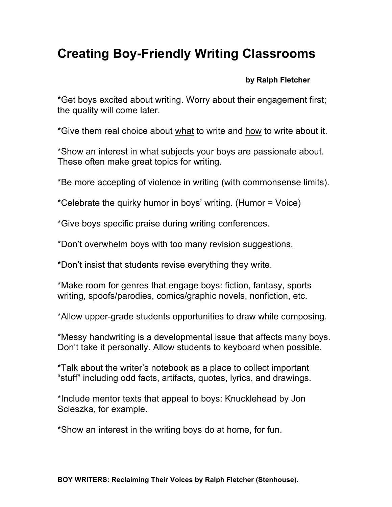## **Creating Boy-Friendly Writing Classrooms**

## **by Ralph Fletcher**

\*Get boys excited about writing. Worry about their engagement first; the quality will come later.

\*Give them real choice about what to write and how to write about it.

\*Show an interest in what subjects your boys are passionate about. These often make great topics for writing.

\*Be more accepting of violence in writing (with commonsense limits).

\*Celebrate the quirky humor in boys' writing. (Humor = Voice)

\*Give boys specific praise during writing conferences.

\*Don't overwhelm boys with too many revision suggestions.

\*Don't insist that students revise everything they write.

\*Make room for genres that engage boys: fiction, fantasy, sports writing, spoofs/parodies, comics/graphic novels, nonfiction, etc.

\*Allow upper-grade students opportunities to draw while composing.

\*Messy handwriting is a developmental issue that affects many boys. Don't take it personally. Allow students to keyboard when possible.

\*Talk about the writer's notebook as a place to collect important "stuff" including odd facts, artifacts, quotes, lyrics, and drawings.

\*Include mentor texts that appeal to boys: Knucklehead by Jon Scieszka, for example.

\*Show an interest in the writing boys do at home, for fun.